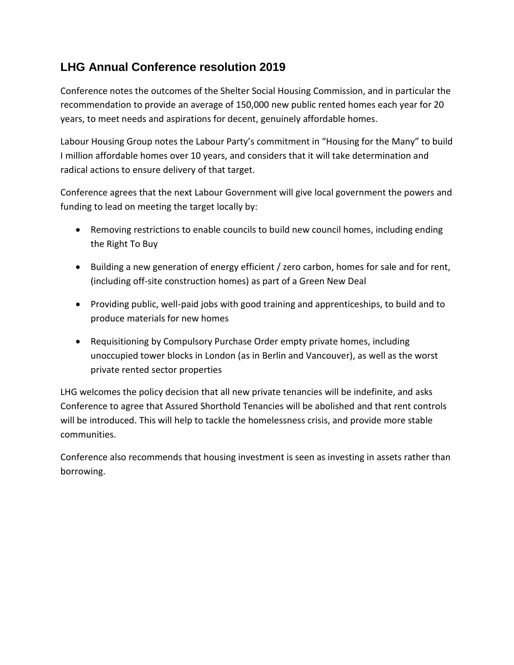## **LHG Annual Conference resolution 2019**

Conference notes the outcomes of the Shelter Social Housing Commission, and in particular the recommendation to provide an average of 150,000 new public rented homes each year for 20 years, to meet needs and aspirations for decent, genuinely affordable homes.

Labour Housing Group notes the Labour Party's commitment in "Housing for the Many" to build I million affordable homes over 10 years, and considers that it will take determination and radical actions to ensure delivery of that target.

Conference agrees that the next Labour Government will give local government the powers and funding to lead on meeting the target locally by:

- Removing restrictions to enable councils to build new council homes, including ending the Right To Buy
- Building a new generation of energy efficient / zero carbon, homes for sale and for rent, (including off-site construction homes) as part of a Green New Deal
- Providing public, well-paid jobs with good training and apprenticeships, to build and to produce materials for new homes
- Requisitioning by Compulsory Purchase Order empty private homes, including unoccupied tower blocks in London (as in Berlin and Vancouver), as well as the worst private rented sector properties

LHG welcomes the policy decision that all new private tenancies will be indefinite, and asks Conference to agree that Assured Shorthold Tenancies will be abolished and that rent controls will be introduced. This will help to tackle the homelessness crisis, and provide more stable communities.

Conference also recommends that housing investment is seen as investing in assets rather than borrowing.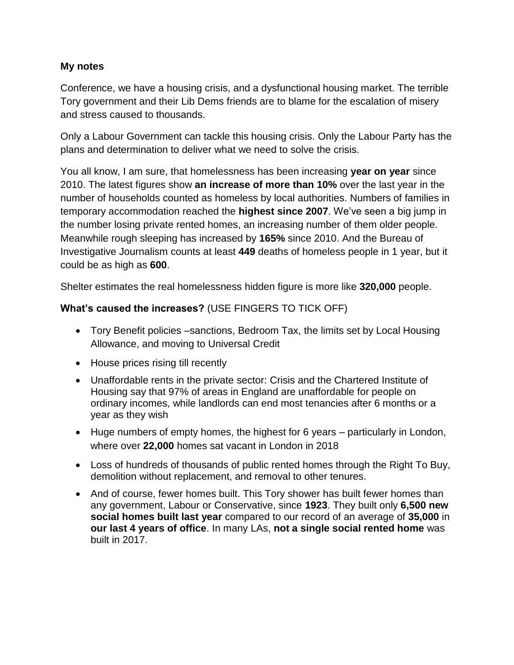## **My notes**

Conference, we have a housing crisis, and a dysfunctional housing market. The terrible Tory government and their Lib Dems friends are to blame for the escalation of misery and stress caused to thousands.

Only a Labour Government can tackle this housing crisis. Only the Labour Party has the plans and determination to deliver what we need to solve the crisis.

You all know, I am sure, that homelessness has been increasing **year on year** since 2010. The latest figures show **an increase of more than 10%** over the last year in the number of households counted as homeless by local authorities. Numbers of families in temporary accommodation reached the **highest since 2007**. We've seen a big jump in the number losing private rented homes, an increasing number of them older people. Meanwhile rough sleeping has increased by **165%** since 2010. And the Bureau of Investigative Journalism counts at least **449** deaths of homeless people in 1 year, but it could be as high as **600**.

Shelter estimates the real homelessness hidden figure is more like **320,000** people.

## **What's caused the increases?** (USE FINGERS TO TICK OFF)

- Tory Benefit policies –sanctions, Bedroom Tax, the limits set by Local Housing Allowance, and moving to Universal Credit
- House prices rising till recently
- Unaffordable rents in the private sector: Crisis and the Chartered Institute of Housing say that 97% of areas in England are unaffordable for people on ordinary incomes, while landlords can end most tenancies after 6 months or a year as they wish
- Huge numbers of empty homes, the highest for 6 years particularly in London, where over **22,000** homes sat vacant in London in 2018
- Loss of hundreds of thousands of public rented homes through the Right To Buy, demolition without replacement, and removal to other tenures.
- And of course, fewer homes built. This Tory shower has built fewer homes than any government, Labour or Conservative, since **1923**. They built only **6,500 new social homes built last year** compared to our record of an average of **35,000** in **our last 4 years of office**. In many LAs, **not a single social rented home** was built in 2017.